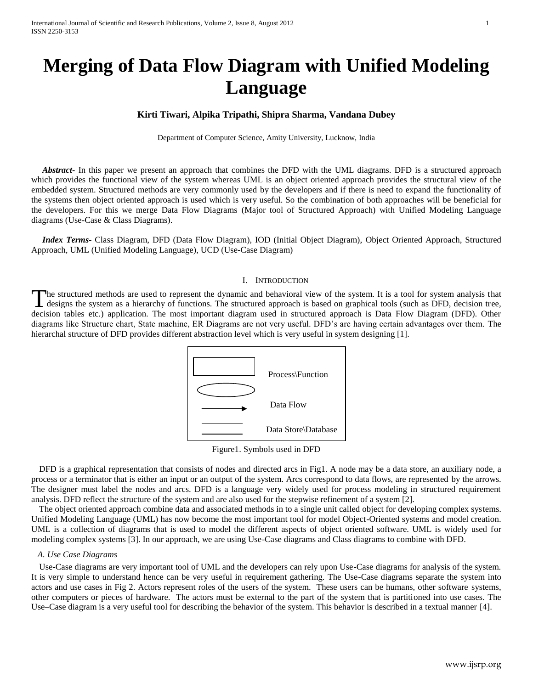# **Merging of Data Flow Diagram with Unified Modeling Language**

# **Kirti Tiwari, Alpika Tripathi, Shipra Sharma, Vandana Dubey**

Department of Computer Science, Amity University, Lucknow, India

 *Abstract***-** In this paper we present an approach that combines the DFD with the UML diagrams. DFD is a structured approach which provides the functional view of the system whereas UML is an object oriented approach provides the structural view of the embedded system. Structured methods are very commonly used by the developers and if there is need to expand the functionality of the systems then object oriented approach is used which is very useful. So the combination of both approaches will be beneficial for the developers. For this we merge Data Flow Diagrams (Major tool of Structured Approach) with Unified Modeling Language diagrams (Use-Case & Class Diagrams).

 *Index Terms*- Class Diagram, DFD (Data Flow Diagram), IOD (Initial Object Diagram), Object Oriented Approach, Structured Approach, UML (Unified Modeling Language), UCD (Use-Case Diagram)

#### I. INTRODUCTION

he structured methods are used to represent the dynamic and behavioral view of the system. It is a tool for system analysis that designs the system as a hierarchy of functions. The structured approach is based on graphical tools (such as DFD, decision tree, decision tables etc.) application. The most important diagram used in structured approach is Data Flow Diagram (DFD). Other diagrams like Structure chart, State machine, ER Diagrams are not very useful. DFD's are having certain advantages over them. The hierarchal structure of DFD provides different abstraction level which is very useful in system designing [1]. T



Figure1. Symbols used in DFD

DFD is a graphical representation that consists of nodes and directed arcs in Fig1. A node may be a data store, an auxiliary node, a process or a terminator that is either an input or an output of the system. Arcs correspond to data flows, are represented by the arrows. The designer must label the nodes and arcs. DFD is a language very widely used for process modeling in structured requirement analysis. DFD reflect the structure of the system and are also used for the stepwise refinement of a system [2].

The object oriented approach combine data and associated methods in to a single unit called object for developing complex systems. Unified Modeling Language (UML) has now become the most important tool for model Object-Oriented systems and model creation. UML is a collection of diagrams that is used to model the different aspects of object oriented software. UML is widely used for modeling complex systems [3]. In our approach, we are using Use-Case diagrams and Class diagrams to combine with DFD.

#### *A. Use Case Diagrams*

Use-Case diagrams are very important tool of UML and the developers can rely upon Use-Case diagrams for analysis of the system. It is very simple to understand hence can be very useful in requirement gathering. The Use-Case diagrams separate the system into actors and use cases in Fig 2. Actors represent roles of the users of the system. These users can be humans, other software systems, other computers or pieces of hardware. The actors must be external to the part of the system that is partitioned into use cases. The Use–Case diagram is a very useful tool for describing the behavior of the system. This behavior is described in a textual manner [4].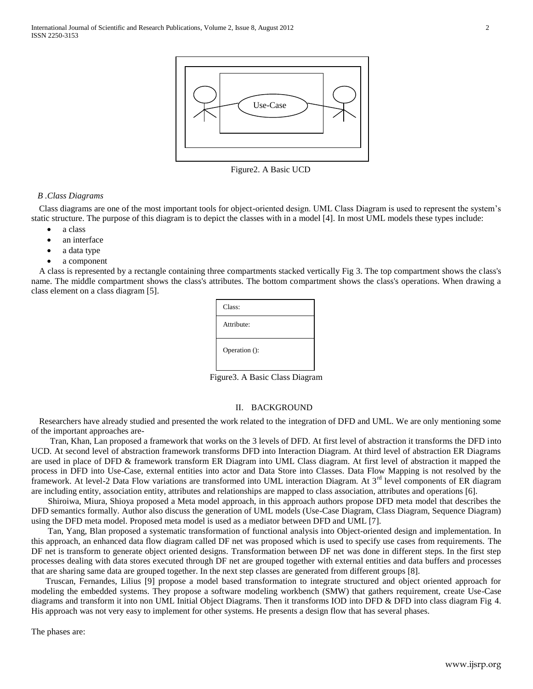

Figure2. A Basic UCD

#### *B .Class Diagrams*

Class diagrams are one of the most important tools for object-oriented design. UML Class Diagram is used to represent the system's static structure. The purpose of this diagram is to depict the classes with in a model [4]. In most UML models these types include:

- a class
- an interface
- a data type
- a component

A class is represented by a rectangle containing three compartments stacked vertically Fig 3. The top compartment shows the class's name. The middle compartment shows the class's attributes. The bottom compartment shows the class's operations. When drawing a class element on a class diagram [5].



Figure3. A Basic Class Diagram

## II. BACKGROUND

Researchers have already studied and presented the work related to the integration of DFD and UML. We are only mentioning some of the important approaches are-

 Tran, Khan, Lan proposed a framework that works on the 3 levels of DFD. At first level of abstraction it transforms the DFD into UCD. At second level of abstraction framework transforms DFD into Interaction Diagram. At third level of abstraction ER Diagrams are used in place of DFD & framework transform ER Diagram into UML Class diagram. At first level of abstraction it mapped the process in DFD into Use-Case, external entities into actor and Data Store into Classes. Data Flow Mapping is not resolved by the framework. At level-2 Data Flow variations are transformed into UML interaction Diagram. At 3<sup>rd</sup> level components of ER diagram are including entity, association entity, attributes and relationships are mapped to class association, attributes and operations [6].

 Shiroiwa, Miura, Shioya proposed a Meta model approach, in this approach authors propose DFD meta model that describes the DFD semantics formally. Author also discuss the generation of UML models (Use-Case Diagram, Class Diagram, Sequence Diagram) using the DFD meta model. Proposed meta model is used as a mediator between DFD and UML [7].

 Tan, Yang, Blan proposed a systematic transformation of functional analysis into Object-oriented design and implementation. In this approach, an enhanced data flow diagram called DF net was proposed which is used to specify use cases from requirements. The DF net is transform to generate object oriented designs. Transformation between DF net was done in different steps. In the first step processes dealing with data stores executed through DF net are grouped together with external entities and data buffers and processes that are sharing same data are grouped together. In the next step classes are generated from different groups [8].

 Truscan, Fernandes, Lilius [9] propose a model based transformation to integrate structured and object oriented approach for modeling the embedded systems. They propose a software modeling workbench (SMW) that gathers requirement, create Use-Case diagrams and transform it into non UML Initial Object Diagrams. Then it transforms IOD into DFD & DFD into class diagram Fig 4. His approach was not very easy to implement for other systems. He presents a design flow that has several phases.

The phases are: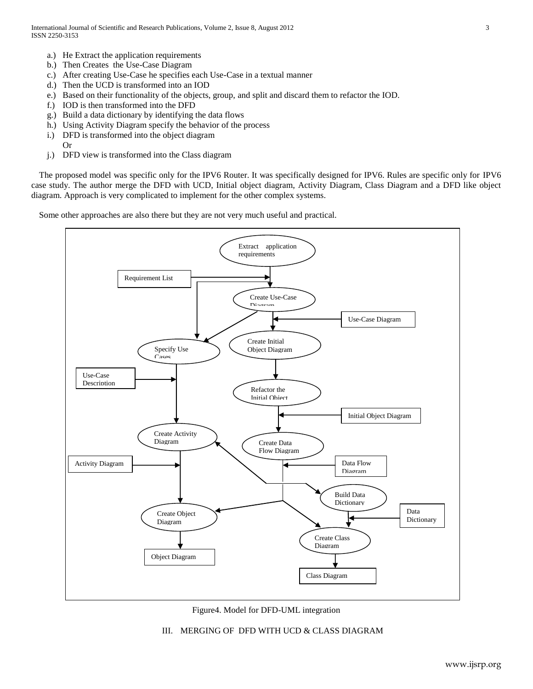- a.) He Extract the application requirements
- b.) Then Creates the Use-Case Diagram
- c.) After creating Use-Case he specifies each Use-Case in a textual manner
- d.) Then the UCD is transformed into an IOD
- e.) Based on their functionality of the objects, group, and split and discard them to refactor the IOD.
- f.) IOD is then transformed into the DFD
- g.) Build a data dictionary by identifying the data flows
- h.) Using Activity Diagram specify the behavior of the process
- i.) DFD is transformed into the object diagram

Or

j.) DFD view is transformed into the Class diagram

The proposed model was specific only for the IPV6 Router. It was specifically designed for IPV6. Rules are specific only for IPV6 case study. The author merge the DFD with UCD, Initial object diagram, Activity Diagram, Class Diagram and a DFD like object diagram. Approach is very complicated to implement for the other complex systems.

Some other approaches are also there but they are not very much useful and practical.





## III. MERGING OF DFD WITH UCD & CLASS DIAGRAM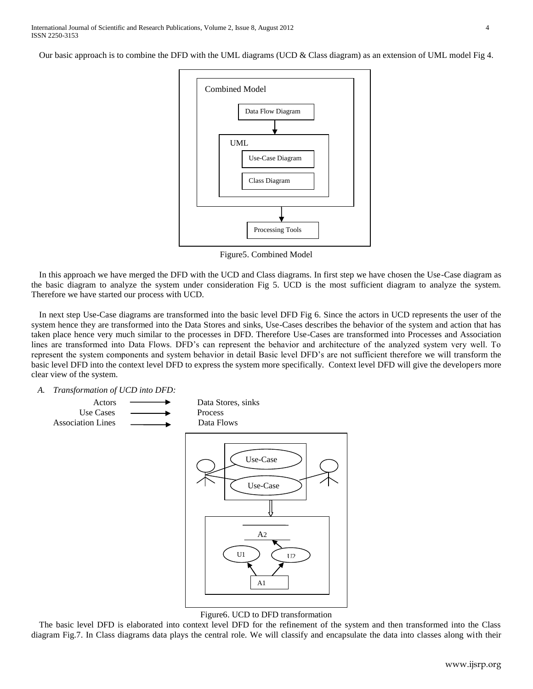Our basic approach is to combine the DFD with the UML diagrams (UCD & Class diagram) as an extension of UML model Fig 4.



Figure5. Combined Model

In this approach we have merged the DFD with the UCD and Class diagrams. In first step we have chosen the Use-Case diagram as the basic diagram to analyze the system under consideration Fig 5. UCD is the most sufficient diagram to analyze the system. Therefore we have started our process with UCD.

In next step Use-Case diagrams are transformed into the basic level DFD Fig 6. Since the actors in UCD represents the user of the system hence they are transformed into the Data Stores and sinks, Use-Cases describes the behavior of the system and action that has taken place hence very much similar to the processes in DFD. Therefore Use-Cases are transformed into Processes and Association lines are transformed into Data Flows. DFD's can represent the behavior and architecture of the analyzed system very well. To represent the system components and system behavior in detail Basic level DFD's are not sufficient therefore we will transform the basic level DFD into the context level DFD to express the system more specifically. Context level DFD will give the developers more clear view of the system.

*A. Transformation of UCD into DFD:*



#### Figure6. UCD to DFD transformation

The basic level DFD is elaborated into context level DFD for the refinement of the system and then transformed into the Class diagram Fig.7. In Class diagrams data plays the central role. We will classify and encapsulate the data into classes along with their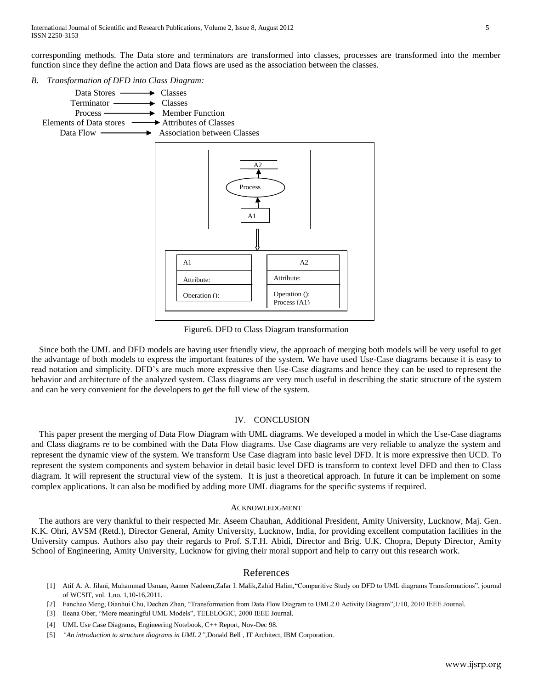corresponding methods. The Data store and terminators are transformed into classes, processes are transformed into the member function since they define the action and Data flows are used as the association between the classes.

*B. Transformation of DFD into Class Diagram:*



Figure6. DFD to Class Diagram transformation

Since both the UML and DFD models are having user friendly view, the approach of merging both models will be very useful to get the advantage of both models to express the important features of the system. We have used Use-Case diagrams because it is easy to read notation and simplicity. DFD's are much more expressive then Use-Case diagrams and hence they can be used to represent the behavior and architecture of the analyzed system. Class diagrams are very much useful in describing the static structure of the system and can be very convenient for the developers to get the full view of the system.

#### IV. CONCLUSION

This paper present the merging of Data Flow Diagram with UML diagrams. We developed a model in which the Use-Case diagrams and Class diagrams re to be combined with the Data Flow diagrams. Use Case diagrams are very reliable to analyze the system and represent the dynamic view of the system. We transform Use Case diagram into basic level DFD. It is more expressive then UCD. To represent the system components and system behavior in detail basic level DFD is transform to context level DFD and then to Class diagram. It will represent the structural view of the system. It is just a theoretical approach. In future it can be implement on some complex applications. It can also be modified by adding more UML diagrams for the specific systems if required.

## ACKNOWLEDGMENT

The authors are very thankful to their respected Mr. Aseem Chauhan, Additional President, Amity University, Lucknow, Maj. Gen. K.K. Ohri, AVSM (Retd.), Director General, Amity University, Lucknow, India, for providing excellent computation facilities in the University campus. Authors also pay their regards to Prof. S.T.H. Abidi, Director and Brig. U.K. Chopra, Deputy Director, Amity School of Engineering, Amity University, Lucknow for giving their moral support and help to carry out this research work.

## References

- [1] Atif A. A. Jilani, Muhammad Usman, Aamer Nadeem,Zafar I. Malik,Zahid Halim,"Comparitive Study on DFD to UML diagrams Transformations", journal of WCSIT, vol. 1,no. 1,10-16,2011.
- [2] Fanchao Meng, Dianhui Chu, Dechen Zhan, "Transformation from Data Flow Diagram to UML2.0 Activity Diagram",1/10, 2010 IEEE Journal.
- [3] Ileana Ober, "More meaningful UML Models", TELELOGIC, 2000 IEEE Journal.
- [4] UML Use Case Diagrams, Engineering Notebook, C++ Report, Nov-Dec 98.
- [5] *"An introduction to structure diagrams in UML 2",*[Donald Bell](http://www.ibm.com/developerworks/rational/library/content/RationalEdge/sep04/bell/#author1) , IT Architect, IBM Corporation.